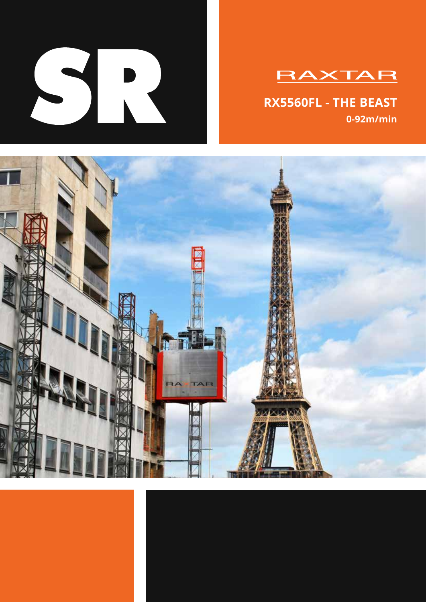

# **RAXTAR**

**RX5560FL - THE BEAST 0-92m/min**

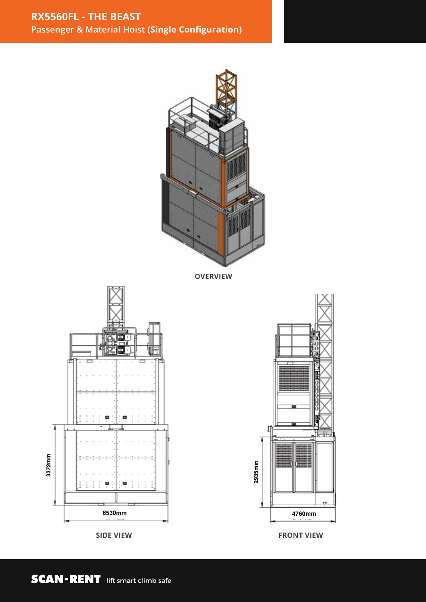

**OVERVIEW**







**SIDE VIEW FRONT VIEW**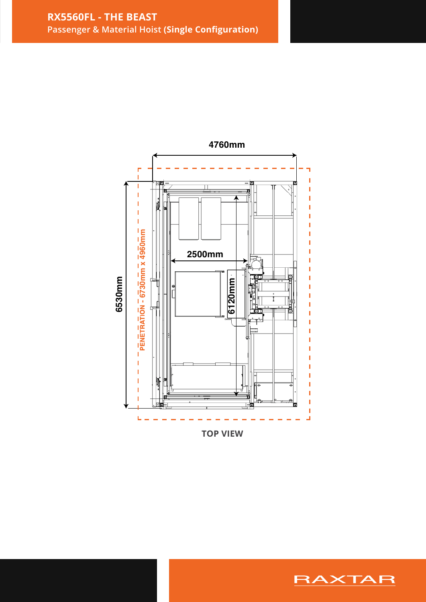